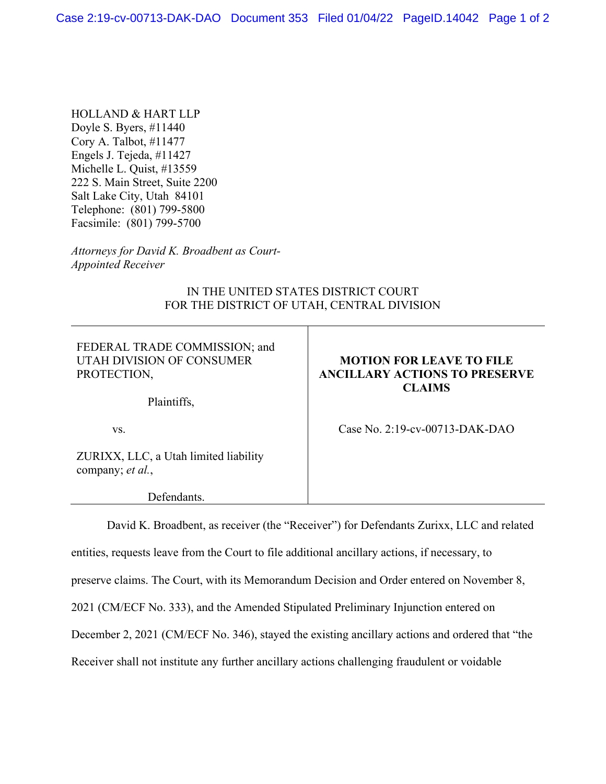HOLLAND & HART LLP Doyle S. Byers, #11440 Cory A. Talbot, #11477 Engels J. Tejeda, #11427 Michelle L. Quist, #13559 222 S. Main Street, Suite 2200 Salt Lake City, Utah 84101 Telephone: (801) 799-5800 Facsimile: (801) 799-5700

*Attorneys for David K. Broadbent as Court-Appointed Receiver* 

## IN THE UNITED STATES DISTRICT COURT FOR THE DISTRICT OF UTAH, CENTRAL DIVISION

FEDERAL TRADE COMMISSION; and UTAH DIVISION OF CONSUMER PROTECTION,

Plaintiffs,

# **MOTION FOR LEAVE TO FILE ANCILLARY ACTIONS TO PRESERVE CLAIMS**

Case No. 2:19-cv-00713-DAK-DAO

ZURIXX, LLC, a Utah limited liability company; *et al.*,

vs.

Defendants.

David K. Broadbent, as receiver (the "Receiver") for Defendants Zurixx, LLC and related entities, requests leave from the Court to file additional ancillary actions, if necessary, to preserve claims. The Court, with its Memorandum Decision and Order entered on November 8, 2021 (CM/ECF No. 333), and the Amended Stipulated Preliminary Injunction entered on December 2, 2021 (CM/ECF No. 346), stayed the existing ancillary actions and ordered that "the Receiver shall not institute any further ancillary actions challenging fraudulent or voidable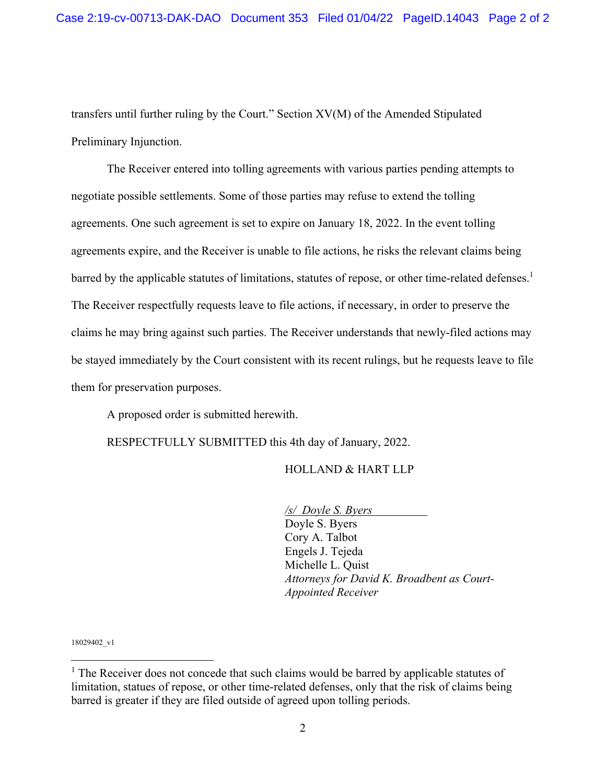transfers until further ruling by the Court." Section XV(M) of the Amended Stipulated Preliminary Injunction.

The Receiver entered into tolling agreements with various parties pending attempts to negotiate possible settlements. Some of those parties may refuse to extend the tolling agreements. One such agreement is set to expire on January 18, 2022. In the event tolling agreements expire, and the Receiver is unable to file actions, he risks the relevant claims being barred by the applicable statutes of limitations, statutes of repose, or other time-related defenses.<sup>1</sup> The Receiver respectfully requests leave to file actions, if necessary, in order to preserve the claims he may bring against such parties. The Receiver understands that newly-filed actions may be stayed immediately by the Court consistent with its recent rulings, but he requests leave to file them for preservation purposes.

A proposed order is submitted herewith.

RESPECTFULLY SUBMITTED this 4th day of January, 2022.

#### HOLLAND & HART LLP

 */s/ Doyle S. Byers* Doyle S. Byers Cory A. Talbot Engels J. Tejeda Michelle L. Quist *Attorneys for David K. Broadbent as Court-Appointed Receiver* 

18029402\_v1

<sup>&</sup>lt;sup>1</sup> The Receiver does not concede that such claims would be barred by applicable statutes of limitation, statues of repose, or other time-related defenses, only that the risk of claims being barred is greater if they are filed outside of agreed upon tolling periods.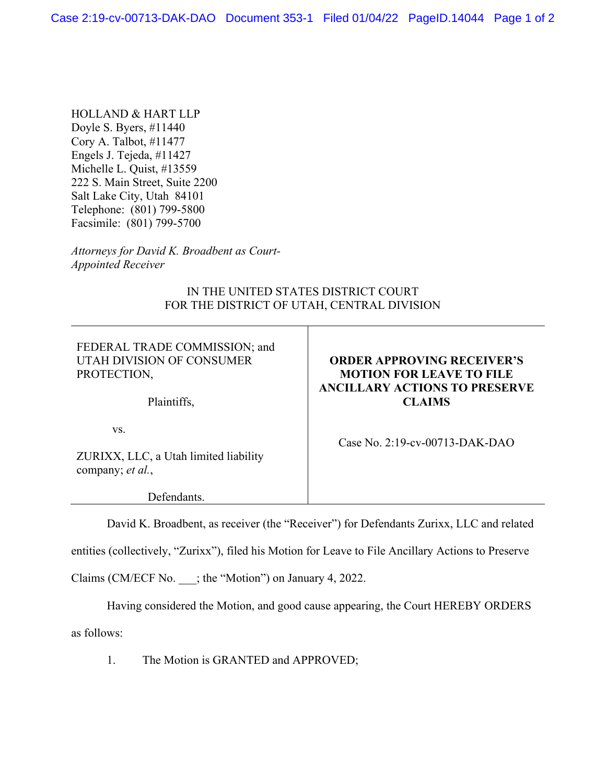HOLLAND & HART LLP Doyle S. Byers, #11440 Cory A. Talbot, #11477 Engels J. Tejeda, #11427 Michelle L. Quist, #13559 222 S. Main Street, Suite 2200 Salt Lake City, Utah 84101 Telephone: (801) 799-5800 Facsimile: (801) 799-5700

*Attorneys for David K. Broadbent as Court-Appointed Receiver* 

## IN THE UNITED STATES DISTRICT COURT FOR THE DISTRICT OF UTAH, CENTRAL DIVISION

FEDERAL TRADE COMMISSION; and UTAH DIVISION OF CONSUMER PROTECTION,

Plaintiffs,

# **ORDER APPROVING RECEIVER'S MOTION FOR LEAVE TO FILE ANCILLARY ACTIONS TO PRESERVE CLAIMS**

vs.

ZURIXX, LLC, a Utah limited liability company; *et al.*,

Defendants.

Case No. 2:19-cv-00713-DAK-DAO

David K. Broadbent, as receiver (the "Receiver") for Defendants Zurixx, LLC and related

entities (collectively, "Zurixx"), filed his Motion for Leave to File Ancillary Actions to Preserve

Claims (CM/ECF No.  $\therefore$ ; the "Motion") on January 4, 2022.

Having considered the Motion, and good cause appearing, the Court HEREBY ORDERS

as follows:

1. The Motion is GRANTED and APPROVED;